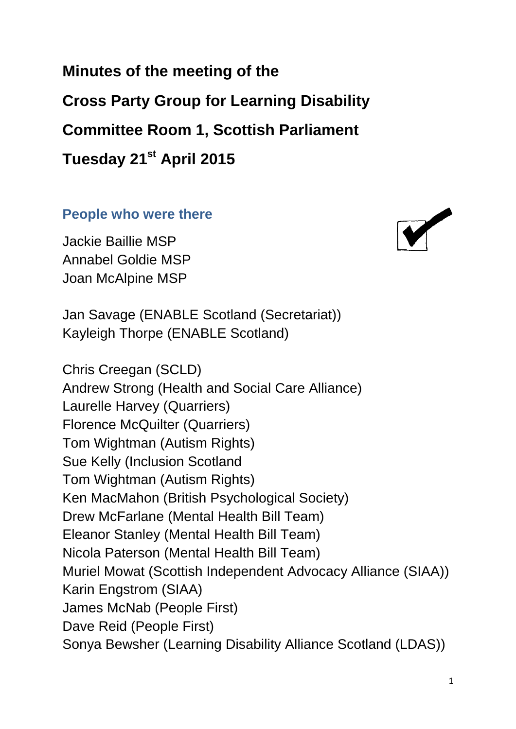**Minutes of the meeting of the Cross Party Group for Learning Disability Committee Room 1, Scottish Parliament Tuesday 21st April 2015**

#### **People who were there**

Jackie Baillie MSP Annabel Goldie MSP Joan McAlpine MSP



Chris Creegan (SCLD) Andrew Strong (Health and Social Care Alliance) Laurelle Harvey (Quarriers) Florence McQuilter (Quarriers) Tom Wightman (Autism Rights) Sue Kelly (Inclusion Scotland Tom Wightman (Autism Rights) Ken MacMahon (British Psychological Society) Drew McFarlane (Mental Health Bill Team) Eleanor Stanley (Mental Health Bill Team) Nicola Paterson (Mental Health Bill Team) Muriel Mowat (Scottish Independent Advocacy Alliance (SIAA)) Karin Engstrom (SIAA) James McNab (People First) Dave Reid (People First) Sonya Bewsher (Learning Disability Alliance Scotland (LDAS))

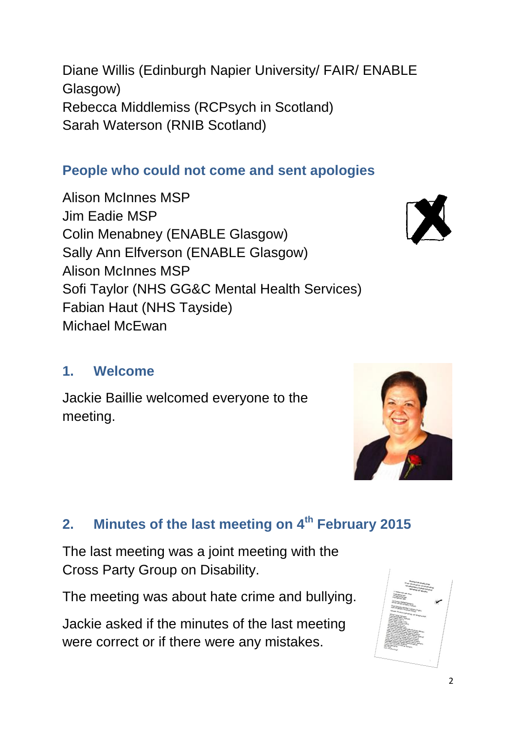Diane Willis (Edinburgh Napier University/ FAIR/ ENABLE Glasgow) Rebecca Middlemiss (RCPsych in Scotland) Sarah Waterson (RNIB Scotland)

### **People who could not come and sent apologies**

Alison McInnes MSP Jim Eadie MSP Colin Menabney (ENABLE Glasgow) Sally Ann Elfverson (ENABLE Glasgow) Alison McInnes MSP Sofi Taylor (NHS GG&C Mental Health Services) Fabian Haut (NHS Tayside) Michael McEwan

#### **1. Welcome**

Jackie Baillie welcomed everyone to the meeting.

# **2. Minutes of the last meeting on 4th February 2015**

The last meeting was a joint meeting with the Cross Party Group on Disability.

The meeting was about hate crime and bullying.

Jackie asked if the minutes of the last meeting were correct or if there were any mistakes.







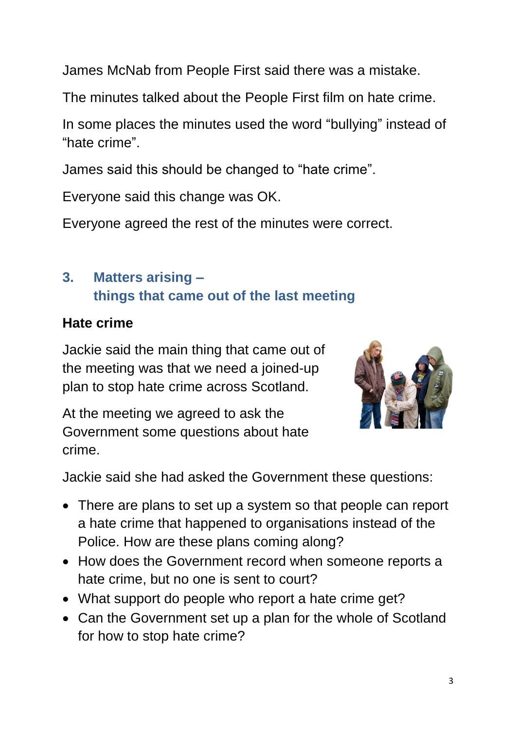James McNab from People First said there was a mistake.

The minutes talked about the People First film on hate crime.

In some places the minutes used the word "bullying" instead of "hate crime".

James said this should be changed to "hate crime".

Everyone said this change was OK.

Everyone agreed the rest of the minutes were correct.

## **3. Matters arising – things that came out of the last meeting**

#### **Hate crime**

Jackie said the main thing that came out of the meeting was that we need a joined-up plan to stop hate crime across Scotland.

At the meeting we agreed to ask the Government some questions about hate crime.



Jackie said she had asked the Government these questions:

- There are plans to set up a system so that people can report a hate crime that happened to organisations instead of the Police. How are these plans coming along?
- How does the Government record when someone reports a hate crime, but no one is sent to court?
- What support do people who report a hate crime get?
- Can the Government set up a plan for the whole of Scotland for how to stop hate crime?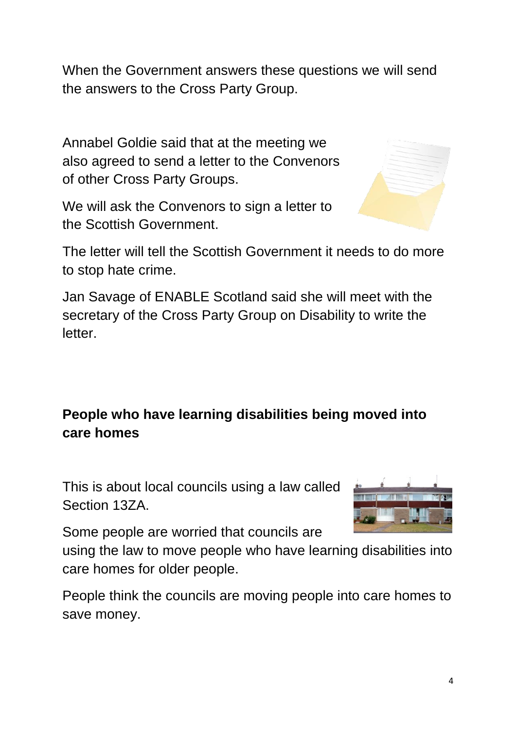When the Government answers these questions we will send the answers to the Cross Party Group.

Annabel Goldie said that at the meeting we also agreed to send a letter to the Convenors of other Cross Party Groups.

We will ask the Convenors to sign a letter to the Scottish Government.



The letter will tell the Scottish Government it needs to do more to stop hate crime.

Jan Savage of ENABLE Scotland said she will meet with the secretary of the Cross Party Group on Disability to write the letter.

## **People who have learning disabilities being moved into care homes**

This is about local councils using a law called Section 13ZA.



Some people are worried that councils are

using the law to move people who have learning disabilities into care homes for older people.

People think the councils are moving people into care homes to save money.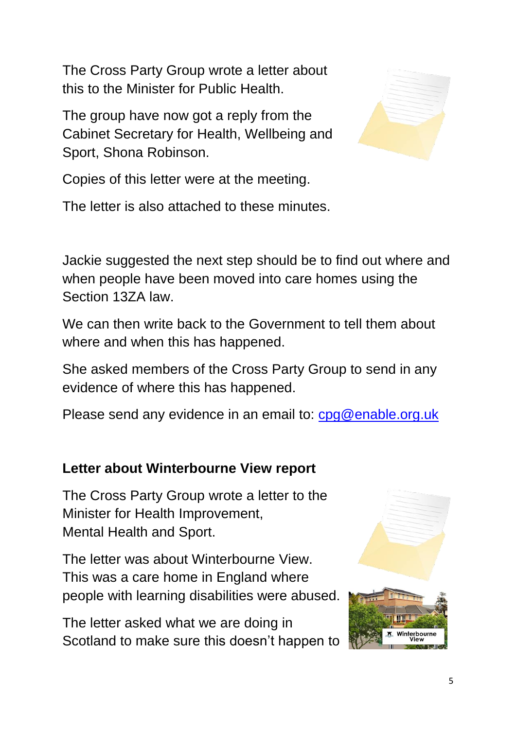The Cross Party Group wrote a letter about this to the Minister for Public Health.

The group have now got a reply from the Cabinet Secretary for Health, Wellbeing and Sport, Shona Robinson.



Copies of this letter were at the meeting.

The letter is also attached to these minutes.

Jackie suggested the next step should be to find out where and when people have been moved into care homes using the Section 13ZA law.

We can then write back to the Government to tell them about where and when this has happened.

She asked members of the Cross Party Group to send in any evidence of where this has happened.

Please send any evidence in an email to: [cpg@enable.org.uk](mailto:cpg@enable.org.uk)

## **Letter about Winterbourne View report**

The Cross Party Group wrote a letter to the Minister for Health Improvement, Mental Health and Sport.

The letter was about Winterbourne View. This was a care home in England where people with learning disabilities were abused.

The letter asked what we are doing in Scotland to make sure this doesn't happen to

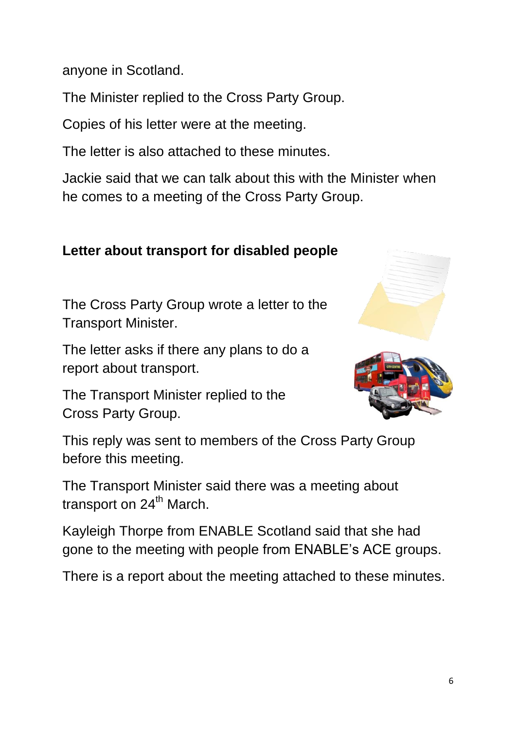anyone in Scotland.

The Minister replied to the Cross Party Group.

Copies of his letter were at the meeting.

The letter is also attached to these minutes.

Jackie said that we can talk about this with the Minister when he comes to a meeting of the Cross Party Group.

### **Letter about transport for disabled people**

The Cross Party Group wrote a letter to the Transport Minister.

The letter asks if there any plans to do a report about transport.

The Transport Minister replied to the Cross Party Group.





This reply was sent to members of the Cross Party Group before this meeting.

The Transport Minister said there was a meeting about transport on  $24<sup>th</sup>$  March.

Kayleigh Thorpe from ENABLE Scotland said that she had gone to the meeting with people from ENABLE's ACE groups.

There is a report about the meeting attached to these minutes.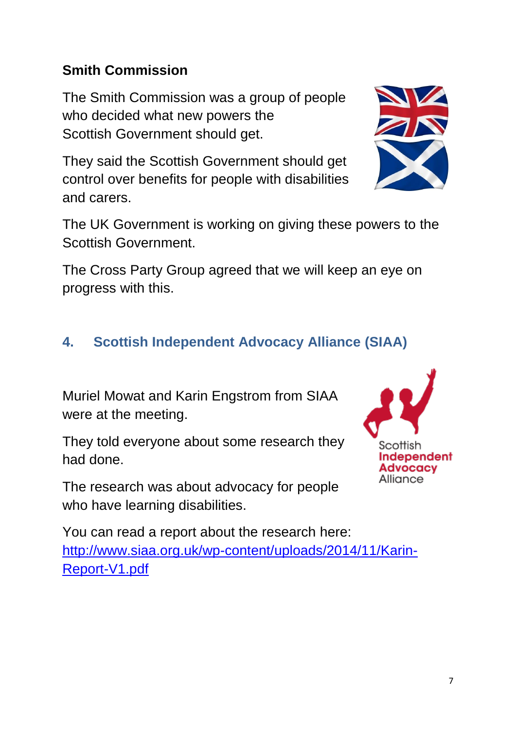7

#### **Smith Commission**

The Smith Commission was a group of people who decided what new powers the Scottish Government should get.

They said the Scottish Government should get control over benefits for people with disabilities and carers.

The UK Government is working on giving these powers to the Scottish Government.

The Cross Party Group agreed that we will keep an eye on progress with this.

### **4. Scottish Independent Advocacy Alliance (SIAA)**

Muriel Mowat and Karin Engstrom from SIAA were at the meeting.

They told everyone about some research they had done.

The research was about advocacy for people who have learning disabilities.

You can read a report about the research here: [http://www.siaa.org.uk/wp-content/uploads/2014/11/Karin-](http://www.siaa.org.uk/wp-content/uploads/2014/11/Karin-Report-V1.pdf)[Report-V1.pdf](http://www.siaa.org.uk/wp-content/uploads/2014/11/Karin-Report-V1.pdf)



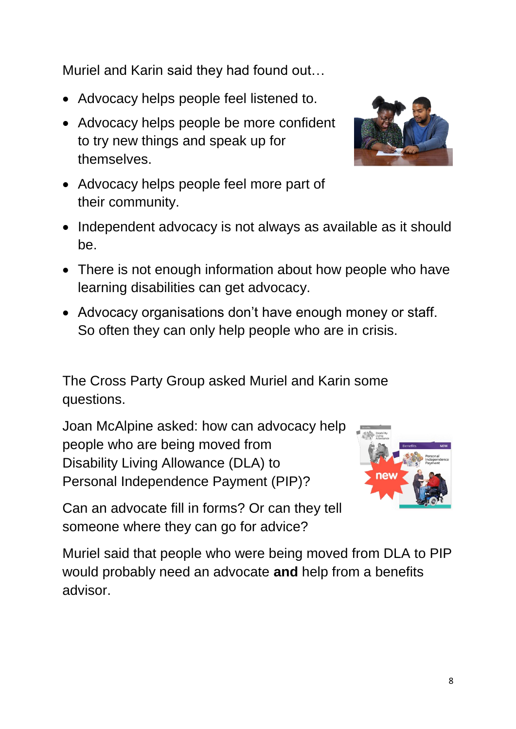Muriel and Karin said they had found out…

- Advocacy helps people feel listened to.
- Advocacy helps people be more confident to try new things and speak up for themselves.



- Advocacy helps people feel more part of their community.
- Independent advocacy is not always as available as it should be.
- There is not enough information about how people who have learning disabilities can get advocacy.
- Advocacy organisations don't have enough money or staff. So often they can only help people who are in crisis.

The Cross Party Group asked Muriel and Karin some questions.

Joan McAlpine asked: how can advocacy help people who are being moved from Disability Living Allowance (DLA) to Personal Independence Payment (PIP)?



Can an advocate fill in forms? Or can they tell someone where they can go for advice?

Muriel said that people who were being moved from DLA to PIP would probably need an advocate **and** help from a benefits advisor.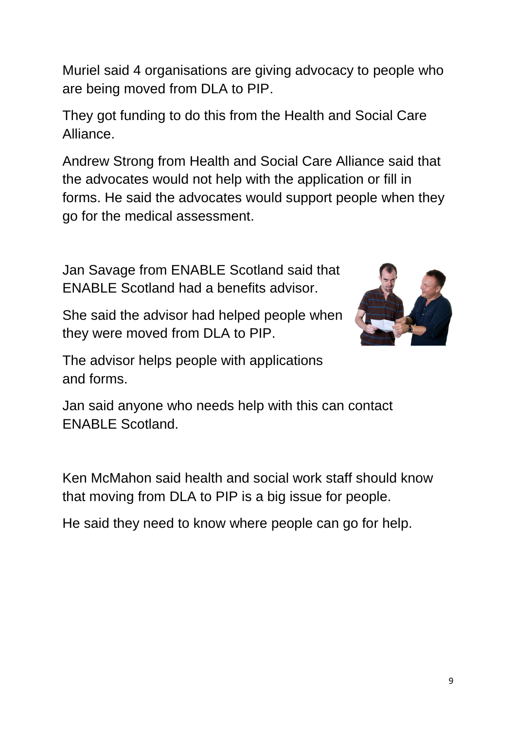Muriel said 4 organisations are giving advocacy to people who are being moved from DLA to PIP.

They got funding to do this from the Health and Social Care Alliance.

Andrew Strong from Health and Social Care Alliance said that the advocates would not help with the application or fill in forms. He said the advocates would support people when they go for the medical assessment.

Jan Savage from ENABLE Scotland said that ENABLE Scotland had a benefits advisor.



She said the advisor had helped people when they were moved from DLA to PIP.

The advisor helps people with applications and forms.

Jan said anyone who needs help with this can contact ENABLE Scotland.

Ken McMahon said health and social work staff should know that moving from DLA to PIP is a big issue for people.

He said they need to know where people can go for help.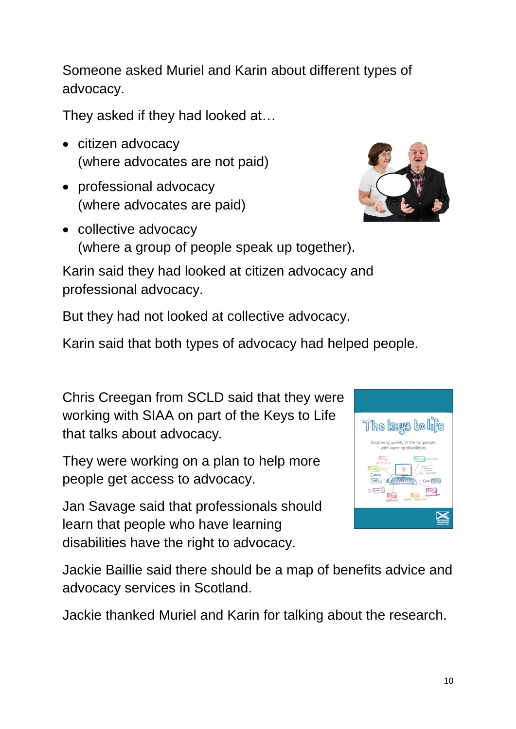Someone asked Muriel and Karin about different types of advocacy.

They asked if they had looked at…

- citizen advocacy (where advocates are not paid)
- professional advocacy (where advocates are paid)
- collective advocacy (where a group of people speak up together).

Karin said they had looked at citizen advocacy and professional advocacy.

But they had not looked at collective advocacy.

Karin said that both types of advocacy had helped people.

Chris Creegan from SCLD said that they were working with SIAA on part of the Keys to Life that talks about advocacy*.*

They were working on a plan to help more people get access to advocacy.

Jan Savage said that professionals should learn that people who have learning disabilities have the right to advocacy.

Jackie Baillie said there should be a map of benefits advice and advocacy services in Scotland.

Jackie thanked Muriel and Karin for talking about the research.



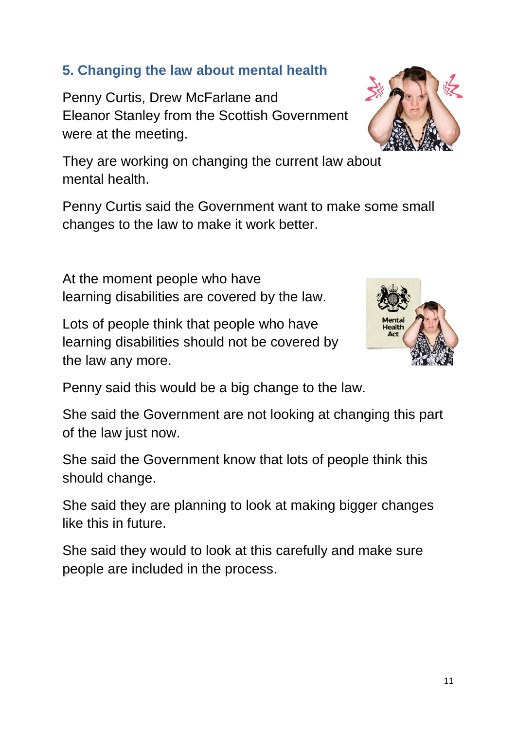### **5. Changing the law about mental health**

Penny Curtis, Drew McFarlane and Eleanor Stanley from the Scottish Government were at the meeting.



Penny Curtis said the Government want to make some small changes to the law to make it work better.

At the moment people who have learning disabilities are covered by the law.

Lots of people think that people who have learning disabilities should not be covered by the law any more.



Penny said this would be a big change to the law.

She said the Government are not looking at changing this part of the law just now.

She said the Government know that lots of people think this should change.

She said they are planning to look at making bigger changes like this in future.

She said they would to look at this carefully and make sure people are included in the process.

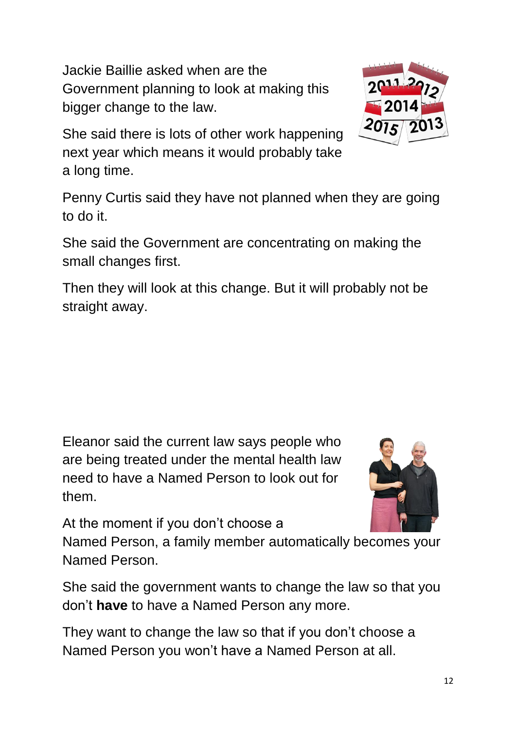Jackie Baillie asked when are the Government planning to look at making this bigger change to the law.



She said there is lots of other work happening next year which means it would probably take a long time.

Penny Curtis said they have not planned when they are going to do it.

She said the Government are concentrating on making the small changes first.

Then they will look at this change. But it will probably not be straight away.

Eleanor said the current law says people who are being treated under the mental health law need to have a Named Person to look out for them.



At the moment if you don't choose a

Named Person, a family member automatically becomes your Named Person.

She said the government wants to change the law so that you don't **have** to have a Named Person any more.

They want to change the law so that if you don't choose a Named Person you won't have a Named Person at all.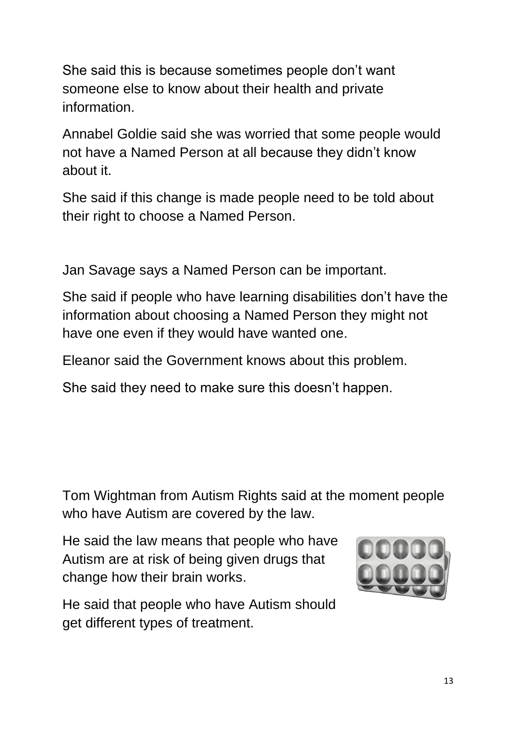She said this is because sometimes people don't want someone else to know about their health and private information.

Annabel Goldie said she was worried that some people would not have a Named Person at all because they didn't know about it.

She said if this change is made people need to be told about their right to choose a Named Person.

Jan Savage says a Named Person can be important.

She said if people who have learning disabilities don't have the information about choosing a Named Person they might not have one even if they would have wanted one.

Eleanor said the Government knows about this problem.

She said they need to make sure this doesn't happen.

Tom Wightman from Autism Rights said at the moment people who have Autism are covered by the law.

He said the law means that people who have Autism are at risk of being given drugs that change how their brain works.



He said that people who have Autism should get different types of treatment.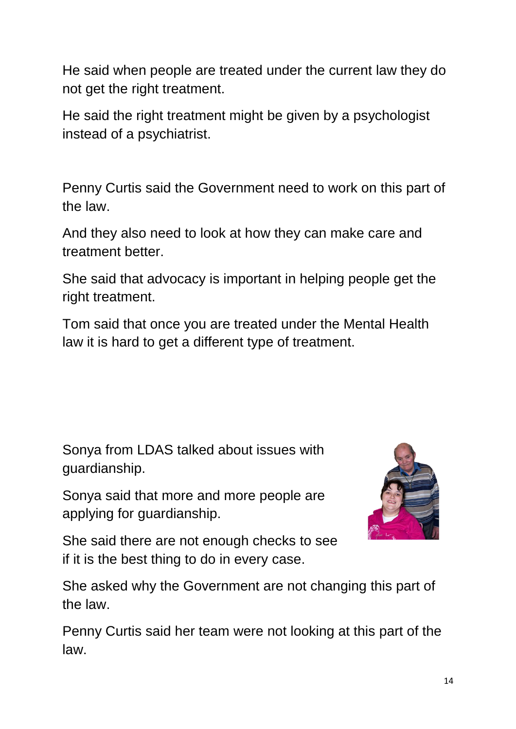He said when people are treated under the current law they do not get the right treatment.

He said the right treatment might be given by a psychologist instead of a psychiatrist.

Penny Curtis said the Government need to work on this part of the law.

And they also need to look at how they can make care and treatment better.

She said that advocacy is important in helping people get the right treatment.

Tom said that once you are treated under the Mental Health law it is hard to get a different type of treatment.

Sonya from LDAS talked about issues with guardianship.

Sonya said that more and more people are applying for guardianship.



She said there are not enough checks to see if it is the best thing to do in every case.

She asked why the Government are not changing this part of the law.

Penny Curtis said her team were not looking at this part of the law.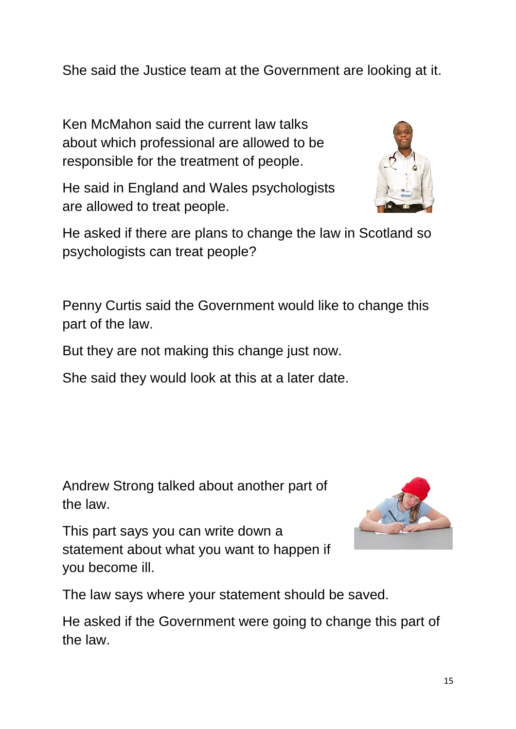She said the Justice team at the Government are looking at it.

Ken McMahon said the current law talks about which professional are allowed to be responsible for the treatment of people.

He said in England and Wales psychologists are allowed to treat people.



Penny Curtis said the Government would like to change this part of the law.

But they are not making this change just now.

She said they would look at this at a later date.

Andrew Strong talked about another part of the law.

This part says you can write down a statement about what you want to happen if you become ill.



The law says where your statement should be saved.

He asked if the Government were going to change this part of the law.

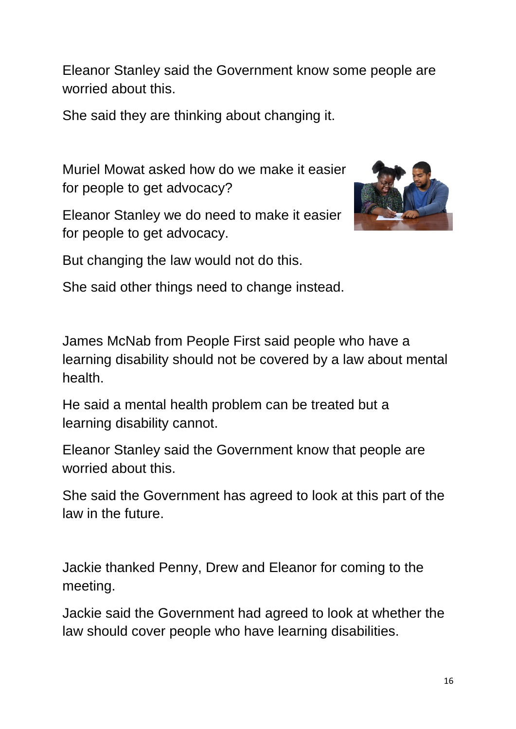Eleanor Stanley said the Government know some people are worried about this.

She said they are thinking about changing it.

Muriel Mowat asked how do we make it easier for people to get advocacy?

Eleanor Stanley we do need to make it easier for people to get advocacy.



But changing the law would not do this.

She said other things need to change instead.

James McNab from People First said people who have a learning disability should not be covered by a law about mental health.

He said a mental health problem can be treated but a learning disability cannot.

Eleanor Stanley said the Government know that people are worried about this.

She said the Government has agreed to look at this part of the law in the future.

Jackie thanked Penny, Drew and Eleanor for coming to the meeting.

Jackie said the Government had agreed to look at whether the law should cover people who have learning disabilities.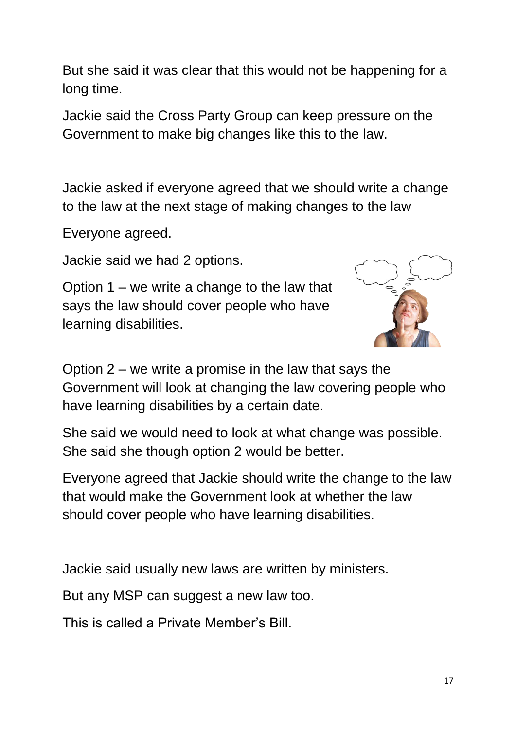But she said it was clear that this would not be happening for a long time.

Jackie said the Cross Party Group can keep pressure on the Government to make big changes like this to the law.

Jackie asked if everyone agreed that we should write a change to the law at the next stage of making changes to the law

Everyone agreed.

Jackie said we had 2 options.

Option 1 – we write a change to the law that says the law should cover people who have learning disabilities.



Option 2 – we write a promise in the law that says the Government will look at changing the law covering people who have learning disabilities by a certain date.

She said we would need to look at what change was possible. She said she though option 2 would be better.

Everyone agreed that Jackie should write the change to the law that would make the Government look at whether the law should cover people who have learning disabilities.

Jackie said usually new laws are written by ministers.

But any MSP can suggest a new law too.

This is called a Private Member's Bill.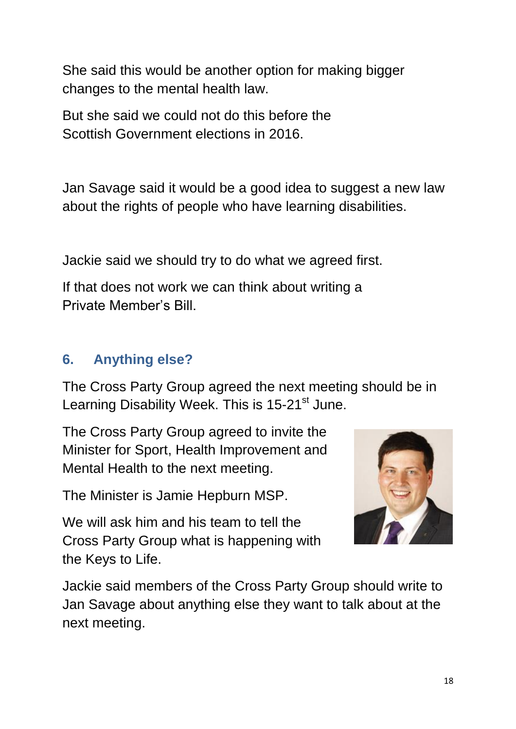She said this would be another option for making bigger changes to the mental health law.

But she said we could not do this before the Scottish Government elections in 2016.

Jan Savage said it would be a good idea to suggest a new law about the rights of people who have learning disabilities.

Jackie said we should try to do what we agreed first.

If that does not work we can think about writing a Private Member's Bill.

## **6. Anything else?**

The Cross Party Group agreed the next meeting should be in Learning Disability Week. This is 15-21<sup>st</sup> June.

The Cross Party Group agreed to invite the Minister for Sport, Health Improvement and Mental Health to the next meeting.

The Minister is Jamie Hepburn MSP.

We will ask him and his team to tell the Cross Party Group what is happening with the Keys to Life.



Jackie said members of the Cross Party Group should write to Jan Savage about anything else they want to talk about at the next meeting.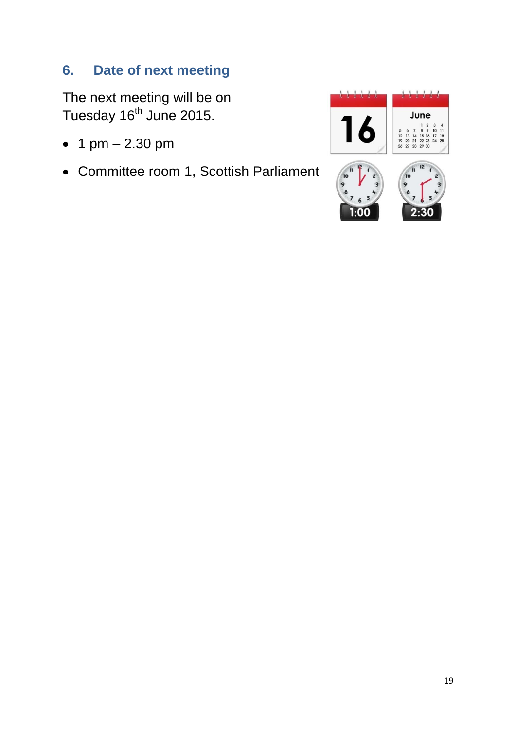### **6. Date of next meeting**

The next meeting will be on Tuesday  $16<sup>th</sup>$  June 2015.

- 1  $pm 2.30$  pm
- Committee room 1, Scottish Parliament

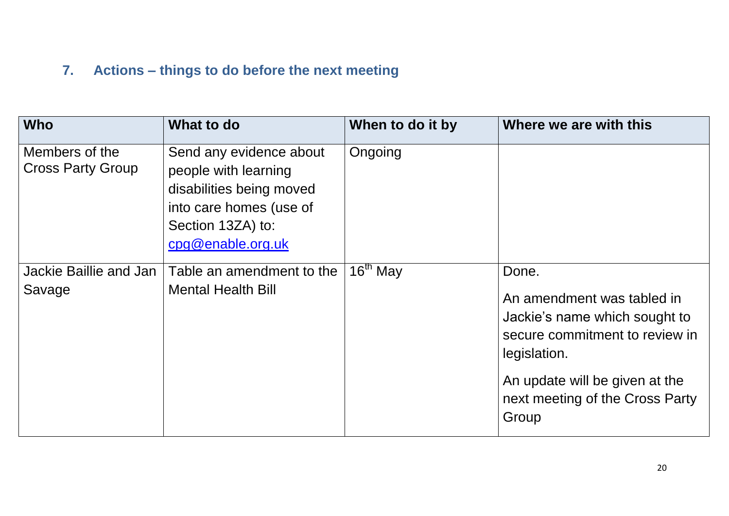## **7. Actions – things to do before the next meeting**

| <b>Who</b>                                 | What to do                                                                                                                                       | When to do it by | Where we are with this                                                                                                                                                                               |
|--------------------------------------------|--------------------------------------------------------------------------------------------------------------------------------------------------|------------------|------------------------------------------------------------------------------------------------------------------------------------------------------------------------------------------------------|
| Members of the<br><b>Cross Party Group</b> | Send any evidence about<br>people with learning<br>disabilities being moved<br>into care homes (use of<br>Section 13ZA) to:<br>cpg@enable.org.uk | Ongoing          |                                                                                                                                                                                                      |
| Jackie Baillie and Jan<br>Savage           | Table an amendment to the<br><b>Mental Health Bill</b>                                                                                           | $16th$ May       | Done.<br>An amendment was tabled in<br>Jackie's name which sought to<br>secure commitment to review in<br>legislation.<br>An update will be given at the<br>next meeting of the Cross Party<br>Group |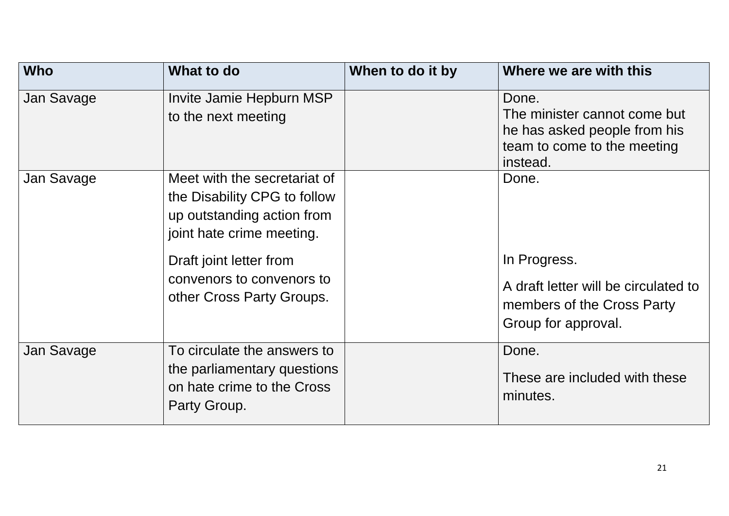| <b>Who</b> | What to do                                                                                                                                                                                                   | When to do it by | Where we are with this                                                                                             |
|------------|--------------------------------------------------------------------------------------------------------------------------------------------------------------------------------------------------------------|------------------|--------------------------------------------------------------------------------------------------------------------|
| Jan Savage | Invite Jamie Hepburn MSP<br>to the next meeting                                                                                                                                                              |                  | Done.<br>The minister cannot come but<br>he has asked people from his<br>team to come to the meeting<br>instead.   |
| Jan Savage | Meet with the secretariat of<br>the Disability CPG to follow<br>up outstanding action from<br>joint hate crime meeting.<br>Draft joint letter from<br>convenors to convenors to<br>other Cross Party Groups. |                  | Done.<br>In Progress.<br>A draft letter will be circulated to<br>members of the Cross Party<br>Group for approval. |
| Jan Savage | To circulate the answers to<br>the parliamentary questions<br>on hate crime to the Cross<br>Party Group.                                                                                                     |                  | Done.<br>These are included with these<br>minutes.                                                                 |